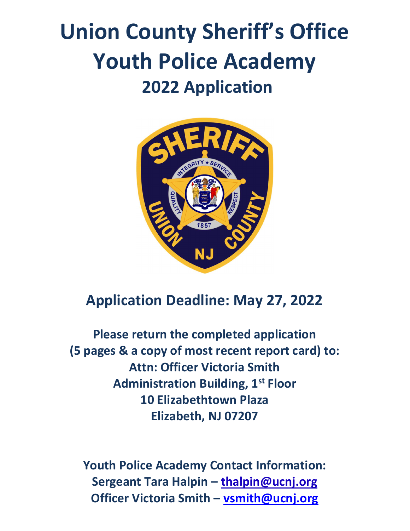# Union County Sheriff's Office Youth Police Academy 2022 Application



### Application Deadline: May 27, 2022

Please return the completed application (5 pages & a copy of most recent report card) to: Attn: Officer Victoria Smith Administration Building, 1<sup>st</sup> Floor 10 Elizabethtown Plaza Elizabeth, NJ 07207

Youth Police Academy Contact Information: Sergeant Tara Halpin – thalpin@ucnj.org Officer Victoria Smith – vsmith@ucnj.org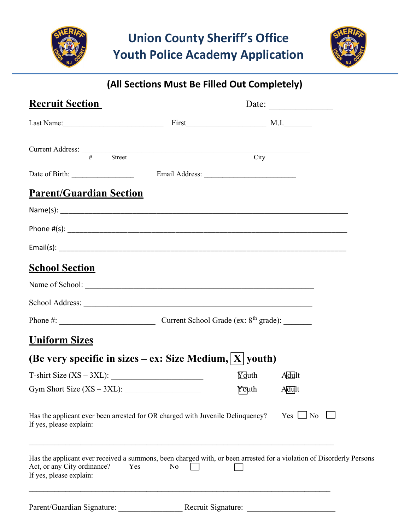



### (All Sections Must Be Filled Out Completely)

| <b>Recruit Section</b>                                                                                                                                                                                                         |    |               | Date:         |
|--------------------------------------------------------------------------------------------------------------------------------------------------------------------------------------------------------------------------------|----|---------------|---------------|
| Last Name: 1000 million and 1000 million and 1000 million and 1000 million and 1000 million and 1000 million and 1000 million and 1000 million and 1000 million and 1000 million and 1000 million and 1000 million and 1000 mi |    |               |               |
| Current Address: $\frac{4}{x}$ Street City                                                                                                                                                                                     |    |               |               |
|                                                                                                                                                                                                                                |    |               |               |
| <b>Parent/Guardian Section</b>                                                                                                                                                                                                 |    |               |               |
|                                                                                                                                                                                                                                |    |               |               |
|                                                                                                                                                                                                                                |    |               |               |
|                                                                                                                                                                                                                                |    |               |               |
| <b>School Section</b>                                                                                                                                                                                                          |    |               |               |
|                                                                                                                                                                                                                                |    |               |               |
| School Address: New York Contract to the Contract of the Contract of the Contract of the Contract of the Contract of the Contract of the Contract of the Contract of the Contract of the Contract of the Contract of the Contr |    |               |               |
|                                                                                                                                                                                                                                |    |               |               |
| <u><b>Uniform Sizes</b></u>                                                                                                                                                                                                    |    |               |               |
| (Be very specific in sizes – ex: Size Medium, $ X $ youth)                                                                                                                                                                     |    |               |               |
| $T\text{-shirt Size } (XS-3XL):$                                                                                                                                                                                               |    | $\Gamma$ outh | <b>Adult</b>  |
| Gym Short Size $(XS - 3XL)$ :                                                                                                                                                                                                  |    | ∤oµth         | Adult         |
| Has the applicant ever been arrested for OR charged with Juvenile Delinquency?<br>If yes, please explain:                                                                                                                      |    |               | $Yes \Box No$ |
| Has the applicant ever received a summons, been charged with, or been arrested for a violation of Disorderly Persons<br>Act, or any City ordinance?<br>Yes<br>If yes, please explain:                                          | No |               |               |
|                                                                                                                                                                                                                                |    |               |               |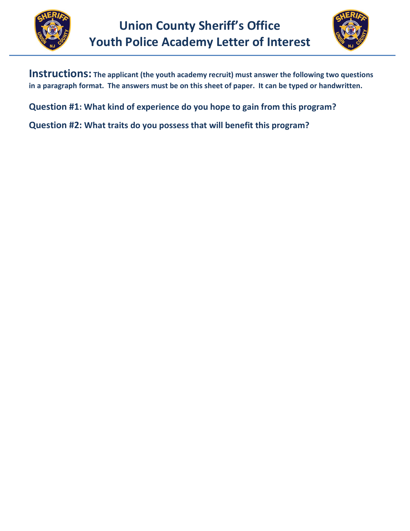



Instructions: The applicant (the youth academy recruit) must answer the following two questions in a paragraph format. The answers must be on this sheet of paper. It can be typed or handwritten.

Question #1: What kind of experience do you hope to gain from this program?

Question #2: What traits do you possess that will benefit this program?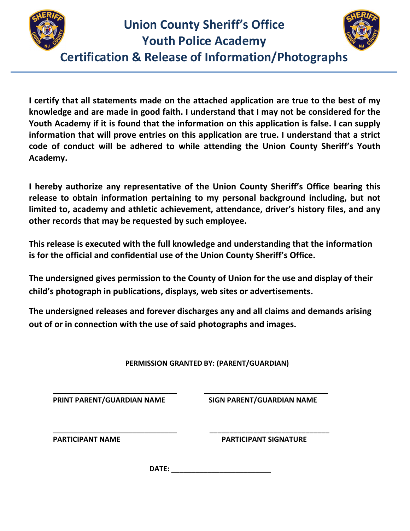

## Union County Sheriff's Office

Youth Police Academy



Certification & Release of Information/Photographs  $\ddot{\phantom{0}}$ 

I certify that all statements made on the attached application are true to the best of my knowledge and are made in good faith. I understand that I may not be considered for the Youth Academy if it is found that the information on this application is false. I can supply information that will prove entries on this application are true. I understand that a strict code of conduct will be adhered to while attending the Union County Sheriff's Youth Academy.

I hereby authorize any representative of the Union County Sheriff's Office bearing this release to obtain information pertaining to my personal background including, but not limited to, academy and athletic achievement, attendance, driver's history files, and any other records that may be requested by such employee.

This release is executed with the full knowledge and understanding that the information is for the official and confidential use of the Union County Sheriff's Office.

The undersigned gives permission to the County of Union for the use and display of their child's photograph in publications, displays, web sites or advertisements.

The undersigned releases and forever discharges any and all claims and demands arising out of or in connection with the use of said photographs and images.

#### PERMISSION GRANTED BY: (PARENT/GUARDIAN)

\_\_\_\_\_\_\_\_\_\_\_\_\_\_\_\_\_\_\_\_\_\_\_\_\_\_\_\_\_\_\_ \_\_\_\_\_\_\_\_\_\_\_\_\_\_\_\_\_\_\_\_\_\_\_\_\_\_\_\_\_\_\_

PRINT PARENT/GUARDIAN NAME SIGN PARENT/GUARDIAN NAME

\_\_\_\_\_\_\_\_\_\_\_\_\_\_\_\_\_\_\_\_\_\_\_\_\_\_\_\_\_\_\_ \_\_\_\_\_\_\_\_\_\_\_\_\_\_\_\_\_\_\_\_\_\_\_\_\_\_\_\_\_\_

PARTICIPANT NAME PARTICIPANT SIGNATURE

DATE: \_\_\_\_\_\_\_\_\_\_\_\_\_\_\_\_\_\_\_\_\_\_\_\_\_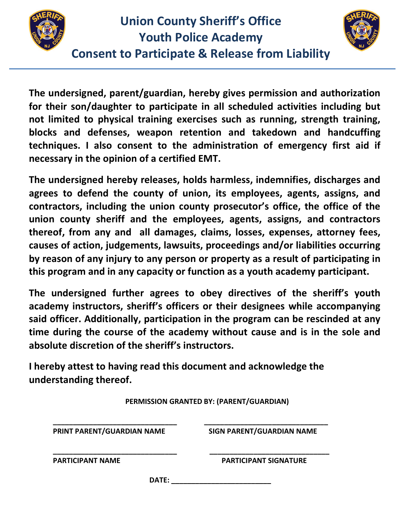



The undersigned, parent/guardian, hereby gives permission and authorization for their son/daughter to participate in all scheduled activities including but not limited to physical training exercises such as running, strength training, blocks and defenses, weapon retention and takedown and handcuffing techniques. I also consent to the administration of emergency first aid if necessary in the opinion of a certified EMT.

The undersigned hereby releases, holds harmless, indemnifies, discharges and agrees to defend the county of union, its employees, agents, assigns, and contractors, including the union county prosecutor's office, the office of the union county sheriff and the employees, agents, assigns, and contractors thereof, from any and all damages, claims, losses, expenses, attorney fees, causes of action, judgements, lawsuits, proceedings and/or liabilities occurring by reason of any injury to any person or property as a result of participating in this program and in any capacity or function as a youth academy participant.

The undersigned further agrees to obey directives of the sheriff's youth academy instructors, sheriff's officers or their designees while accompanying said officer. Additionally, participation in the program can be rescinded at any time during the course of the academy without cause and is in the sole and absolute discretion of the sheriff's instructors.

I hereby attest to having read this document and acknowledge the understanding thereof.

| PERMISSION GRANTED BY: (PARENT/GUARDIAN) |                                  |  |  |  |  |  |
|------------------------------------------|----------------------------------|--|--|--|--|--|
| PRINT PARENT/GUARDIAN NAME               | <b>SIGN PARENT/GUARDIAN NAME</b> |  |  |  |  |  |
| <b>PARTICIPANT NAME</b>                  | <b>PARTICIPANT SIGNATURE</b>     |  |  |  |  |  |
| DATE:                                    |                                  |  |  |  |  |  |